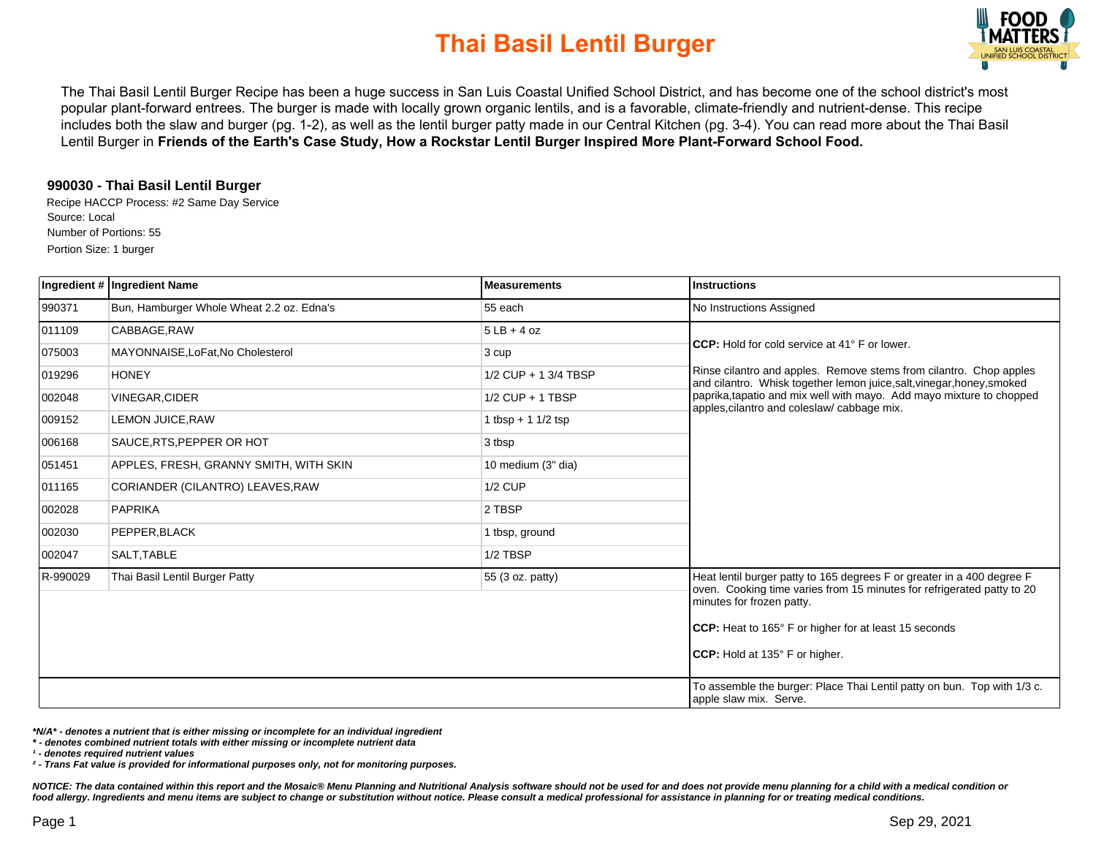

The Thai Basil Lentil Burger Recipe has been a huge success in San Luis Coastal Unified School District, and has become one of the school district's most popular plant-forward entrees. The burger is made with locally grown organic lentils, and is a favorable, climate-friendly and nutrient-dense. This recipe includes both the slaw and burger (pg. 1-2), as well as the lentil burger patty made in our Central Kitchen (pg. 3-4). You can read more about the Thai Basil Lentil Burger in **Friends of the Earth's Case Study, How a Rockstar Lentil Burger Inspired More Plant-Forward School Food.** 

### **990030 - Thai Basil Lentil Burger**

Recipe HACCP Process: #2 Same Day Service Source: Local Number of Portions: 55 Portion Size: 1 burger

|          | Ingredient # Ingredient Name              | <b>Measurements</b>  | <b>Instructions</b>                                                                                                                                                                                                                                                              |
|----------|-------------------------------------------|----------------------|----------------------------------------------------------------------------------------------------------------------------------------------------------------------------------------------------------------------------------------------------------------------------------|
| 990371   | Bun, Hamburger Whole Wheat 2.2 oz. Edna's | 55 each              | No Instructions Assigned                                                                                                                                                                                                                                                         |
| 011109   | CABBAGE.RAW                               | $5LB + 4 oz$         |                                                                                                                                                                                                                                                                                  |
| 075003   | MAYONNAISE, LoFat, No Cholesterol         | 3 cup                | <b>CCP:</b> Hold for cold service at 41° F or lower.                                                                                                                                                                                                                             |
| 019296   | <b>HONEY</b>                              | 1/2 CUP + 1 3/4 TBSP | Rinse cilantro and apples. Remove stems from cilantro. Chop apples<br>and cilantro. Whisk together lemon juice, salt, vinegar, honey, smoked                                                                                                                                     |
| 002048   | <b>VINEGAR, CIDER</b>                     | $1/2$ CUP + 1 TBSP   | paprika, tapatio and mix well with mayo. Add mayo mixture to chopped<br>apples, cilantro and coleslaw/ cabbage mix.                                                                                                                                                              |
| 009152   | <b>LEMON JUICE, RAW</b>                   | 1 tbsp + 1 $1/2$ tsp |                                                                                                                                                                                                                                                                                  |
| 006168   | SAUCE, RTS, PEPPER OR HOT                 | 3 tbsp               |                                                                                                                                                                                                                                                                                  |
| 051451   | APPLES, FRESH, GRANNY SMITH, WITH SKIN    | 10 medium (3" dia)   |                                                                                                                                                                                                                                                                                  |
| 011165   | CORIANDER (CILANTRO) LEAVES, RAW          | <b>1/2 CUP</b>       |                                                                                                                                                                                                                                                                                  |
| 002028   | <b>PAPRIKA</b>                            | 2 TBSP               |                                                                                                                                                                                                                                                                                  |
| 002030   | PEPPER.BLACK                              | 1 tbsp, ground       |                                                                                                                                                                                                                                                                                  |
| 002047   | SALT.TABLE                                | 1/2 TBSP             |                                                                                                                                                                                                                                                                                  |
| R-990029 | Thai Basil Lentil Burger Patty            | 55 (3 oz. patty)     | Heat lentil burger patty to 165 degrees F or greater in a 400 degree F<br>oven. Cooking time varies from 15 minutes for refrigerated patty to 20<br>minutes for frozen patty.<br>CCP: Heat to 165° F or higher for at least 15 seconds<br><b>ICCP:</b> Hold at 135° F or higher. |
|          |                                           |                      | To assemble the burger: Place Thai Lentil patty on bun. Top with 1/3 c.<br>apple slaw mix. Serve.                                                                                                                                                                                |

**\*N/A\* - denotes a nutrient that is either missing or incomplete for an individual ingredient**

**\* - denotes combined nutrient totals with either missing or incomplete nutrient data**

**¹ - denotes required nutrient values**

**² - Trans Fat value is provided for informational purposes only, not for monitoring purposes.**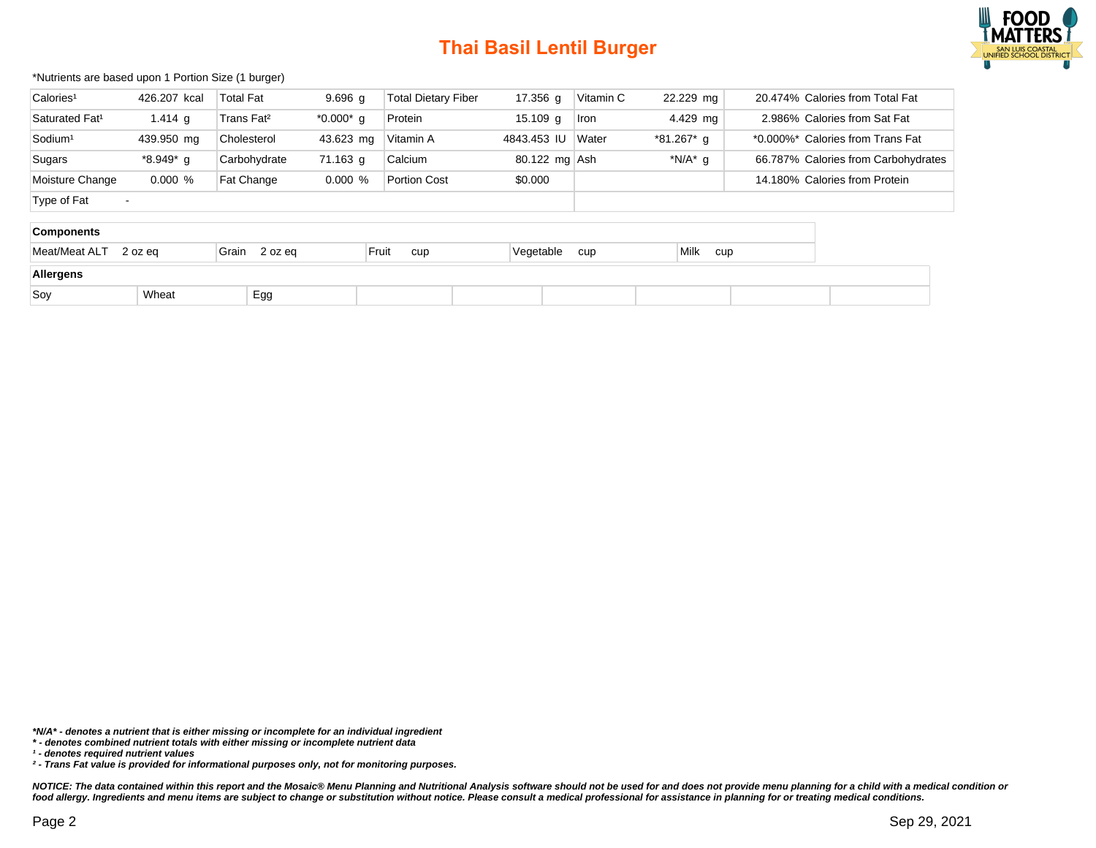

#### \*Nutrients are based upon 1 Portion Size (1 burger)

| Calories <sup>1</sup>      | 426.207 kcal             | <b>Total Fat</b>       | $9.696$ g  | <b>Total Dietary Fiber</b> | 17.356 g      | Vitamin C | 22.229 mg   |                               | 20.474% Calories from Total Fat     |  |
|----------------------------|--------------------------|------------------------|------------|----------------------------|---------------|-----------|-------------|-------------------------------|-------------------------------------|--|
| Saturated Fat <sup>1</sup> | 1.414 g                  | Trans Fat <sup>2</sup> | *0.000*g   | Protein                    | $15.109$ g    | Iron      | 4.429 mg    |                               | 2.986% Calories from Sat Fat        |  |
| Sodium <sup>1</sup>        | 439.950 mg               | Cholesterol            | 43.623 mg  | Vitamin A                  | 4843.453 IU   | Water     | *81.267* g  |                               | *0.000%* Calories from Trans Fat    |  |
| Sugars                     | *8.949*g                 | Carbohydrate           | 71.163 g   | Calcium                    | 80.122 mg Ash |           | *N/A* $g$   |                               | 66.787% Calories from Carbohydrates |  |
| Moisture Change            | $0.000 \%$               | Fat Change             | $0.000 \%$ | <b>Portion Cost</b>        | \$0.000       |           |             | 14.180% Calories from Protein |                                     |  |
| Type of Fat                | $\overline{\phantom{a}}$ |                        |            |                            |               |           |             |                               |                                     |  |
| Components                 |                          |                        |            |                            |               |           |             |                               |                                     |  |
| Meat/Meat ALT              | 2 oz eg                  | Grain 2 oz eq          | Fruit      | cup                        | Vegetable     | cup       | Milk<br>cup |                               |                                     |  |
| <b>Allergano</b>           |                          |                        |            |                            |               |           |             |                               |                                     |  |

| Allergens |                   |     |  |  |  |  |  |  |
|-----------|-------------------|-----|--|--|--|--|--|--|
| Sov       | <b>Wheat</b><br>. | Egg |  |  |  |  |  |  |

**\*N/A\* - denotes a nutrient that is either missing or incomplete for an individual ingredient**

**¹ - denotes required nutrient values**

**<sup>\* -</sup> denotes combined nutrient totals with either missing or incomplete nutrient data**

**² - Trans Fat value is provided for informational purposes only, not for monitoring purposes.**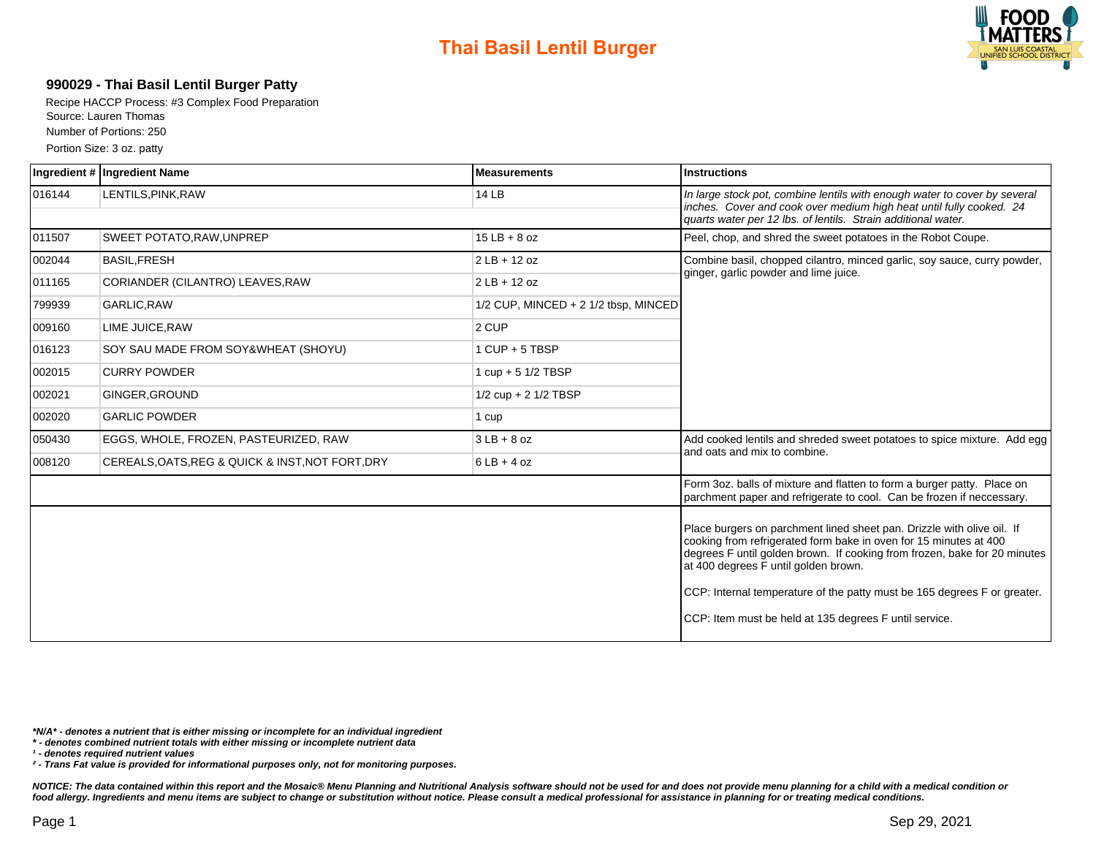

### **990029 - Thai Basil Lentil Burger Patty**

Recipe HACCP Process: #3 Complex Food Preparation Source: Lauren Thomas Number of Portions: 250 Portion Size: 3 oz. patty

|        | Ingredient # Ingredient Name                     | <b>Measurements</b>                      | <b>Instructions</b>                                                                                                                                                                                                                                                                                                                                                                                    |  |  |  |
|--------|--------------------------------------------------|------------------------------------------|--------------------------------------------------------------------------------------------------------------------------------------------------------------------------------------------------------------------------------------------------------------------------------------------------------------------------------------------------------------------------------------------------------|--|--|--|
| 016144 | LENTILS, PINK, RAW                               | 14 LB                                    | In large stock pot, combine lentils with enough water to cover by several<br>inches. Cover and cook over medium high heat until fully cooked. 24<br>quarts water per 12 lbs. of lentils. Strain additional water.                                                                                                                                                                                      |  |  |  |
| 011507 | SWEET POTATO, RAW, UNPREP                        | $15$ LB + 8 oz                           | Peel, chop, and shred the sweet potatoes in the Robot Coupe.                                                                                                                                                                                                                                                                                                                                           |  |  |  |
| 002044 | <b>BASIL, FRESH</b>                              | $2$ LB + 12 oz                           | Combine basil, chopped cilantro, minced garlic, soy sauce, curry powder,<br>ginger, garlic powder and lime juice.                                                                                                                                                                                                                                                                                      |  |  |  |
| 011165 | CORIANDER (CILANTRO) LEAVES, RAW                 | $2$ LB + 12 oz                           |                                                                                                                                                                                                                                                                                                                                                                                                        |  |  |  |
| 799939 | GARLIC, RAW                                      | $1/2$ CUP, MINCED + 2 $1/2$ tbsp, MINCED |                                                                                                                                                                                                                                                                                                                                                                                                        |  |  |  |
| 009160 | LIME JUICE, RAW                                  | 2 CUP                                    |                                                                                                                                                                                                                                                                                                                                                                                                        |  |  |  |
| 016123 | SOY SAU MADE FROM SOY&WHEAT (SHOYU)              | $1$ CUP + 5 TBSP                         |                                                                                                                                                                                                                                                                                                                                                                                                        |  |  |  |
| 002015 | <b>CURRY POWDER</b>                              | 1 $cup + 5$ 1/2 TBSP                     |                                                                                                                                                                                                                                                                                                                                                                                                        |  |  |  |
| 002021 | GINGER.GROUND                                    | $1/2$ cup + 2 $1/2$ TBSP                 |                                                                                                                                                                                                                                                                                                                                                                                                        |  |  |  |
| 002020 | <b>GARLIC POWDER</b>                             | 1 cup                                    |                                                                                                                                                                                                                                                                                                                                                                                                        |  |  |  |
| 050430 | EGGS, WHOLE, FROZEN, PASTEURIZED, RAW            | $3LB + 8 oz$                             | Add cooked lentils and shreded sweet potatoes to spice mixture. Add egg                                                                                                                                                                                                                                                                                                                                |  |  |  |
| 008120 | CEREALS, OATS, REG & QUICK & INST, NOT FORT, DRY | $6LB + 4 oz$                             | and oats and mix to combine.                                                                                                                                                                                                                                                                                                                                                                           |  |  |  |
|        |                                                  |                                          | Form 3oz. balls of mixture and flatten to form a burger patty. Place on<br>parchment paper and refrigerate to cool. Can be frozen if neccessary.                                                                                                                                                                                                                                                       |  |  |  |
|        |                                                  |                                          | Place burgers on parchment lined sheet pan. Drizzle with olive oil. If<br>cooking from refrigerated form bake in oven for 15 minutes at 400<br>degrees F until golden brown. If cooking from frozen, bake for 20 minutes<br>at 400 degrees F until golden brown.<br>CCP: Internal temperature of the patty must be 165 degrees F or greater.<br>CCP: Item must be held at 135 degrees F until service. |  |  |  |

**\*N/A\* - denotes a nutrient that is either missing or incomplete for an individual ingredient**

**\* - denotes combined nutrient totals with either missing or incomplete nutrient data**

**¹ - denotes required nutrient values**

**² - Trans Fat value is provided for informational purposes only, not for monitoring purposes.**